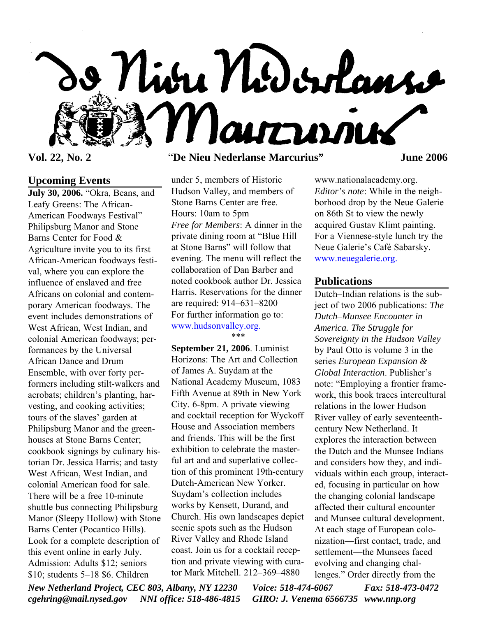

# **Upcoming Events**

**July 30, 2006.** "Okra, Beans, and Leafy Greens: The African-American Foodways Festival" Philipsburg Manor and Stone Barns Center for Food & Agriculture invite you to its first African-American foodways festival, where you can explore the influence of enslaved and free Africans on colonial and contemporary American foodways. The event includes demonstrations of West African, West Indian, and colonial American foodways; performances by the Universal African Dance and Drum Ensemble, with over forty performers including stilt-walkers and acrobats; children's planting, harvesting, and cooking activities; tours of the slaves' garden at Philipsburg Manor and the greenhouses at Stone Barns Center; cookbook signings by culinary historian Dr. Jessica Harris; and tasty West African, West Indian, and colonial American food for sale. There will be a free 10-minute shuttle bus connecting Philipsburg Manor (Sleepy Hollow) with Stone Barns Center (Pocantico Hills). Look for a complete description of this event online in early July. Admission: Adults \$12; seniors \$10; students 5–18 \$6. Children

## **Vol. 22, No. 2** "**De Nieu Nederlanse Marcurius" June 2006**

under 5, members of Historic Hudson Valley, and members of Stone Barns Center are free. Hours: 10am to 5pm *Free for Members*: A dinner in the private dining room at "Blue Hill at Stone Barns" will follow that evening. The menu will reflect the collaboration of Dan Barber and noted cookbook author Dr. Jessica Harris. Reservations for the dinner are required: 914–631–8200 For further information go to: www.hudsonvalley.org.

\*\*\*

**September 21, 2006**. Luminist Horizons: The Art and Collection of James A. Suydam at the National Academy Museum, 1083 Fifth Avenue at 89th in New York City. 6-8pm. A private viewing and cocktail reception for Wyckoff House and Association members and friends. This will be the first exhibition to celebrate the masterful art and and superlative collection of this prominent 19th-century Dutch-American New Yorker. Suydam's collection includes works by Kensett, Durand, and Church. His own landscapes depict scenic spots such as the Hudson River Valley and Rhode Island coast. Join us for a cocktail reception and private viewing with curator Mark Mitchell. 212–369–4880

www.nationalacademy.org. *Editor's note*: While in the neighborhood drop by the Neue Galerie on 86th St to view the newly acquired Gustav Klimt painting. For a Viennese-style lunch try the Neue Galerie's Café Sabarsky. www.neuegalerie.org.

#### **Publications**

Dutch–Indian relations is the subject of two 2006 publications: *The Dutch–Munsee Encounter in America. The Struggle for Sovereignty in the Hudson Valley* by Paul Otto is volume 3 in the series *European Expansion & Global Interaction*. Publisher's note: "Employing a frontier framework, this book traces intercultural relations in the lower Hudson River valley of early seventeenthcentury New Netherland. It explores the interaction between the Dutch and the Munsee Indians and considers how they, and individuals within each group, interacted, focusing in particular on how the changing colonial landscape affected their cultural encounter and Munsee cultural development. At each stage of European colonization—first contact, trade, and settlement—the Munsees faced evolving and changing challenges." Order directly from the

*New Netherland Project, CEC 803, Albany, NY 12230 Voice: 518-474-6067 Fax: 518-473-0472 cgehring@mail.nysed.gov NNI office: 518-486-4815 GIRO: J. Venema 6566735 www.nnp.org*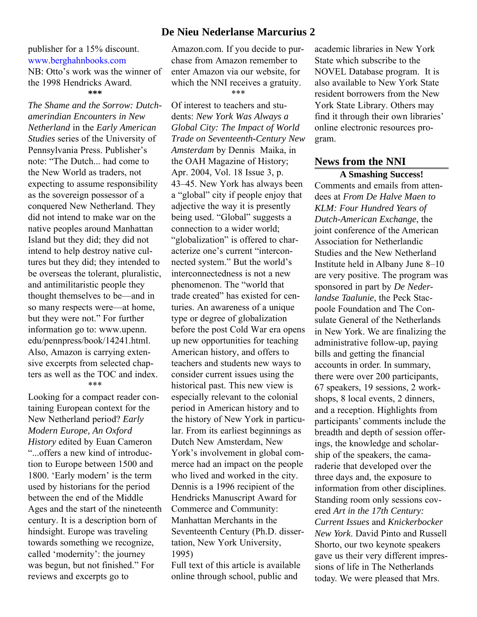## **De Nieu Nederlanse Marcurius 2**

#### publisher for a 15% discount. www.berghahnbooks.com NB: Otto's work was the winner of the 1998 Hendricks Award. **\*\*\***

*The Shame and the Sorrow: Dutchamerindian Encounters in New Netherland* in the *Early American Studies* series of the University of Pennsylvania Press. Publisher's note: "The Dutch... had come to the New World as traders, not expecting to assume responsibility as the sovereign possessor of a conquered New Netherland. They did not intend to make war on the native peoples around Manhattan Island but they did; they did not intend to help destroy native cultures but they did; they intended to be overseas the tolerant, pluralistic, and antimilitaristic people they thought themselves to be—and in so many respects were—at home, but they were not." For further information go to: www.upenn. edu/pennpress/book/14241.html. Also, Amazon is carrying extensive excerpts from selected chapters as well as the TOC and index. \*\*\*

Looking for a compact reader containing European context for the New Netherland period? *Early Modern Europe, An Oxford History* edited by Euan Cameron "...offers a new kind of introduction to Europe between 1500 and 1800. 'Early modern' is the term used by historians for the period between the end of the Middle Ages and the start of the nineteenth century. It is a description born of hindsight. Europe was traveling towards something we recognize, called 'modernity': the journey was begun, but not finished." For reviews and excerpts go to

Amazon.com. If you decide to purchase from Amazon remember to enter Amazon via our website, for which the NNI receives a gratuity. \*\*\*

Of interest to teachers and students: *New York Was Always a Global City: The Impact of World Trade on Seventeenth-Century New Amsterdam* by Dennis Maika, in the OAH Magazine of History; Apr. 2004, Vol. 18 Issue 3, p. 43–45. New York has always been a "global" city if people enjoy that adjective the way it is presently being used. "Global" suggests a connection to a wider world; "globalization" is offered to characterize one's current "interconnected system." But the world's interconnectedness is not a new phenomenon. The "world that trade created" has existed for centuries. An awareness of a unique type or degree of globalization before the post Cold War era opens up new opportunities for teaching American history, and offers to teachers and students new ways to consider current issues using the historical past. This new view is especially relevant to the colonial period in American history and to the history of New York in particular. From its earliest beginnings as Dutch New Amsterdam, New York's involvement in global commerce had an impact on the people who lived and worked in the city. Dennis is a 1996 recipient of the Hendricks Manuscript Award for Commerce and Community: Manhattan Merchants in the Seventeenth Century (Ph.D. dissertation, New York University, 1995)

Full text of this article is available online through school, public and

academic libraries in New York State which subscribe to the NOVEL Database program. It is also available to New York State resident borrowers from the New York State Library. Others may find it through their own libraries' online electronic resources program.

## **News from the NNI**

**A Smashing Success!** Comments and emails from attendees at *From De Halve Maen to KLM: Four Hundred Years of Dutch-American Exchange*, the joint conference of the American Association for Netherlandic Studies and the New Netherland Institute held in Albany June 8–10 are very positive. The program was sponsored in part by *De Nederlandse Taalunie*, the Peck Stacpoole Foundation and The Consulate General of the Netherlands in New York. We are finalizing the administrative follow-up, paying bills and getting the financial accounts in order. In summary, there were over 200 participants, 67 speakers, 19 sessions, 2 workshops, 8 local events, 2 dinners, and a reception. Highlights from participants' comments include the breadth and depth of session offerings, the knowledge and scholarship of the speakers, the camaraderie that developed over the three days and, the exposure to information from other disciplines. Standing room only sessions covered *Art in the 17th Century: Current Issues* and *Knickerbocker New York*. David Pinto and Russell Shorto, our two keynote speakers gave us their very different impressions of life in The Netherlands today. We were pleased that Mrs.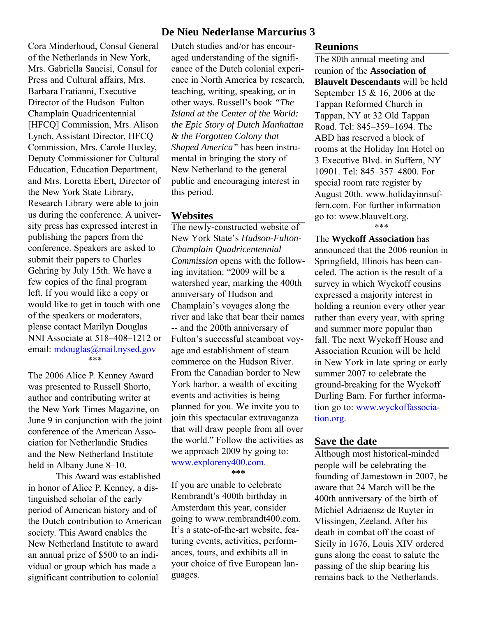Cora Minderhoud, Consul General of the Netherlands in New York, Mrs. Gabriella Sancisi, Consul for Press and Cultural affairs, Mrs. Barbara Fratianni, Executive Director of the Hudson–Fulton– Champlain Quadricentennial [HFCQ] Commission, Mrs. Alison Lynch, Assistant Director, HFCQ Commission, Mrs. Carole Huxley, Deputy Commissioner for Cultural Education, Education Department, and Mrs. Loretta Ebert, Director of the New York State Library, Research Library were able to join us during the conference. A university press has expressed interest in publishing the papers from the conference. Speakers are asked to submit their papers to Charles Gehring by July 15th. We have a few copies of the final program left. If you would like a copy or would like to get in touch with one of the speakers or moderators, please contact Marilyn Douglas NNI Associate at 518–408–1212 or email: mdouglas@mail.nysed.gov \*\*\*

The 2006 Alice P. Kenney Award was presented to Russell Shorto, author and contributing writer at the New York Times Magazine, on June 9 in conjunction with the joint conference of the American Association for Netherlandic Studies and the New Netherland Institute held in Albany June 8–10.

This Award was established in honor of Alice P. Kenney, a distinguished scholar of the early period of American history and of the Dutch contribution to American society. This Award enables the New Netherland Institute to award an annual prize of \$500 to an individual or group which has made a significant contribution to colonial

# **De Nieu Nederlanse Marcurius 3**

Dutch studies and/or has encouraged understanding of the significance of the Dutch colonial experience in North America by research, teaching, writing, speaking, or in other ways. Russell's book *"The Island at the Center of the World: the Epic Story of Dutch Manhattan & the Forgotten Colony that Shaped America"* has been instrumental in bringing the story of New Netherland to the general public and encouraging interest in this period.

### **Websites**

The newly-constructed website of New York State's *Hudson-Fulton-Champlain Quadricentennial Commission* opens with the following invitation: "2009 will be a watershed year, marking the 400th anniversary of Hudson and Champlain's voyages along the river and lake that bear their names -- and the 200th anniversary of Fulton's successful steamboat voyage and establishment of steam commerce on the Hudson River. From the Canadian border to New York harbor, a wealth of exciting events and activities is being planned for you. We invite you to join this spectacular extravaganza that will draw people from all over the world." Follow the activities as we approach 2009 by going to: www.exploreny400.com. **\*\*\***

If you are unable to celebrate Rembrandt's 400th birthday in Amsterdam this year, consider going to www.rembrandt400.com. It's a state-of-the-art website, featuring events, activities, performances, tours, and exhibits all in your choice of five European languages.

### **Reunions**

The 80th annual meeting and reunion of the **Association of Blauvelt Descendants** will be held September 15 & 16, 2006 at the Tappan Reformed Church in Tappan, NY at 32 Old Tappan Road. Tel: 845–359–1694. The ABD has reserved a block of rooms at the Holiday Inn Hotel on 3 Executive Blvd. in Suffern, NY 10901. Tel: 845–357–4800. For special room rate register by August 20th. www.holidayinnsuffern.com. For further information go to: www.blauvelt.org. \*\*\*

The **Wyckoff Association** has announced that the 2006 reunion in Springfield, Illinois has been canceled. The action is the result of a survey in which Wyckoff cousins expressed a majority interest in holding a reunion every other year rather than every year, with spring and summer more popular than fall. The next Wyckoff House and Association Reunion will be held in New York in late spring or early summer 2007 to celebrate the ground-breaking for the Wyckoff Durling Barn. For further information go to: www.wyckoffassociation.org.

### **Save the date**

Although most historical-minded people will be celebrating the founding of Jamestown in 2007, be aware that 24 March will be the 400th anniversary of the birth of Michiel Adriaensz de Ruyter in Vlissingen, Zeeland. After his death in combat off the coast of Sicily in 1676, Louis XIV ordered guns along the coast to salute the passing of the ship bearing his remains back to the Netherlands.